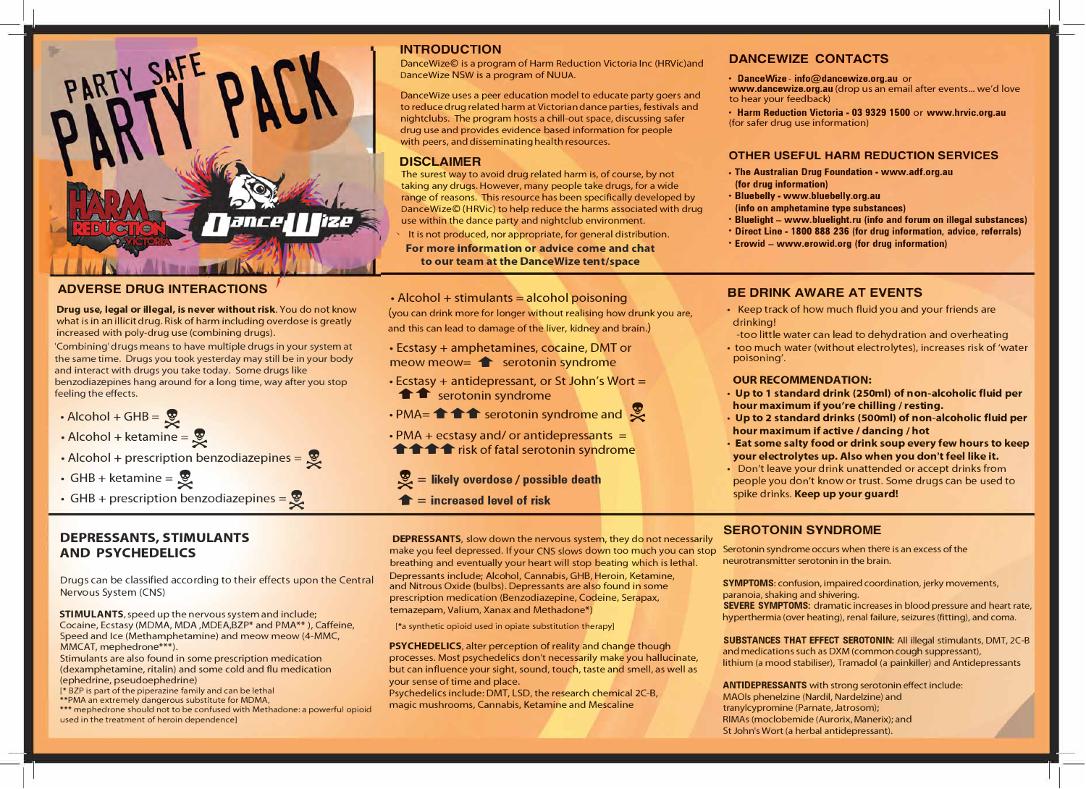# PARTY SAFE

# **ADVERSE DRUG INTERACTIONS**

**Drug use, legal or illegal, is never without risk.** You do not know what is in an illicit drug. Risk of harm including overdose is greatly increased with poly-drug use (combining drugs).

'Combining' drugs means to have multiple drugs in your system at the same time. Drugs you took yesterday may still be in your body and interact with drugs you take today. Some drugs like benzodiazepines hang around for a long time, way after you stop feeling the effects.

- $\cdot$  Alcohol + GHB =  $\frac{1}{\infty}$
- $\cdot$  Alcohol + ketamine =  $\frac{1}{2}$
- $\cdot$  Alcohol + prescription benzodiazepines =  $\cdot$
- GHB + ketamine =  $\frac{1}{2}$
- GHB + prescription benzodiazepines =  $\bullet$

# **DEPRESSANTS, STIMULANTS AND PSYCHEDELICS**

Drugs can be classified according to their effects upon the Central Nervous System (CNS)

**STIMULANTS,** speed up the nervous system and include; Cocaine, Ecstasy (MOMA, MDA ,MDEA,BZP\* and PMA\*\* ), Caffeine, Speed and Ice (Methamphetamine) and meow meow (4-MMC, MMCAT, mephedrone\*\*\*).

Stimulants are also found in some prescription medication (dexamphetamine, ritalin) and some cold and flu medication (ephedrine, pseudoephedrine)

[\* BZP is part of the piperazine family and can be lethal

\*\*PMA an extremely dangerous substitute for MDMA,

\*\*\* mephedrone should not to be confused with Methadone: a powerful opioid used in the treatment of heroin dependence]

# **INTRODUCTION**

DanceWize© is a program of Harm Reduction Victoria Inc (HRVic)and DanceWize NSW is a program of NUUA.

DanceWize uses a peer education model to educate party goers and to reduce drug related harm at Victorian dance parties, festivals and nightclubs. The program hosts a chill-out space, discussing safer drug use and provides evidence based information for people with peers, and disseminating health resources.

# **DISCLAIMER**

The surest way to avoid drug related harm is, of course, by not taking any drugs. However, many people take drugs, for a wide range of reasons. This resource has been specifically developed by DanceWize© (HRVic) to help reduce the harms associated with drug use within the dance party and nightclub environment.

- It is not produced, nor appropriate, for general distribution. **For more information or advice come and chat to our team at the DanceWize tent/space**
- $\cdot$  Alcohol + stimulants = alcohol poisoning

(you can drink more for longer without realising how drunk you are, and this can lead to damage of the liver, kidney and brain.)

- Ecstasy+ amphetamines, cocaine, DMT or meow meow=  $\triangle$  serotonin syndrome
- Ecstasy + antidepressant, or St John's Wort = **f f** serotonin syndrome
- $\cdot$  PMA=  $\uparrow \uparrow \uparrow$  serotonin syndrome and  $\mathcal{Z}$
- $\cdot$  PMA + ecstasy and/ or antidepressants = **THE FIGURE 1** risk of fatal serotonin syndrome

 $\mathcal{L}$  = likely overdose / possible death

**• = increased level of risk**

**DEPRESSANTS,** slow down the nervous system, they do not necessarily make you feel depressed. If your CNS slows down too much you can stop Serotonin syndrome occurs when there is an excess of the brain. breathing and eventually your heart will stop beating which is lethal. Depressants include; Alcohol, Cannabis, GHB, Heroin, Ketamine,

and Nitrous Oxide (bulbs). Depressants are also found in some prescription medication (Benzodiazepine, Codeine, Serapax, temazepam, Valium, Xanax and Methadone\*)

[\*a synthetic opioid used in opiate substitution therapy]

**PSYCHEDELICS,** alter perception of reality and change though processes. Most psychedelics don't necessarily make you hallucinate, but can influence your sight, sound, touch, taste and smell, as well as your sense of time and place.

Psychedelics include: DMT, LSD, the research chemical 2C-B, magic mushrooms, Cannabis, Ketamine and Mescaline

# **DANCEWIZE CONTACTS**

• **DanceWize** - **info@dancewize.org.au** or

**www.dancewize.org.au** (drop us an email after events... we'd love to hear your feedback)

• **Harm Reduction Victoria** - **03 9329 1500** or **www.hrvic.org.au**  (for safer drug use information)

# **OTHER USEFUL HARM REDUCTION SERVICES**

- **The Australian Drug Foundation www.adf.org.au (for drug information)**
- **Bluebelly www.bluebelly.org.au (info on amphetamine type substances)**
- **Bluelight www.bluelight.ru (info and forum on illegal substances)**
- **Direct Line 1800 888 236 (for drug information, advice, referrals)**
- **Erowid www.erowid.org (for drug information)**

# **BE DRINK AWARE AT EVENTS**

- Keep track of how much fluid you and your friends are drinking!
- -too little water can lead to dehydration and overheating
- too much water (without electrolytes), increases risk of 'water poisoning'.

## **OUR RECOMMENDATION:**

- **Up to 1 standard drink (250ml) of non-alcoholic fluid per hour maximum if you're chilling** / **resting.**
- **Up to 2 standard drinks (500ml) of non-alcoholic fluid per hour maximum if active / dancing** / **hot**
- **Eat some salty food or drink soup every few hours to keep your electrolytes up. Also when you don't feel like it.**
- Don't leave your drink unattended or accept drinks from people you don't know or trust. Some drugs can be used to spike drinks. **Keep up your guard!**

# **SEROTONIN SYNDROME**

**SYMPTOMS:** confusion, impaired coordination, jerky movements, paranoia, shaking and shivering.

**SEVERE SYMPTOMS:** dramatic increases in blood pressure and heart rate, hyperthermia (over heating), renal failure, seizures (fitting), and coma.

**SUBSTANCES THAT EFFECT SEROTONIN:** All illegal stimulants, DMT, 2C-B and medications such as DXM (common cough suppressant), lithium (a mood stabiliser), Tramadol (a painkiller) and Antidepressants

**ANTIDEPRESSANTS** with strong serotonin effect include: MAOls phenelzine (Nardil, Nardelzine) and tranylcypromine (Parnate, Jatrosom); RIMAs (moclobemide (Aurorix, Manerix); and St John's Wort (a herbal antidepressant).